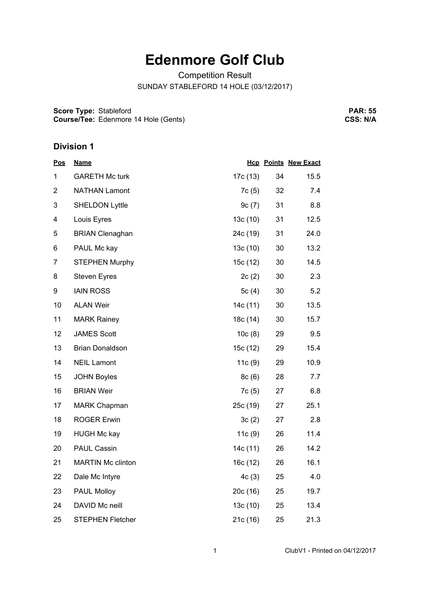## **Edenmore Golf Club**

Competition Result

SUNDAY STABLEFORD 14 HOLE (03/12/2017)

**Score Type: Course/Tee:** Stableford Edenmore 14 Hole (Gents)

**PAR: 55 CSS: N/A**

## **Division 1**

| <b>Pos</b>     | <b>Name</b>              |          |    | <b>Hcp Points New Exact</b> |
|----------------|--------------------------|----------|----|-----------------------------|
| 1              | <b>GARETH Mc turk</b>    | 17c (13) | 34 | 15.5                        |
| $\overline{c}$ | <b>NATHAN Lamont</b>     | 7c(5)    | 32 | 7.4                         |
| 3              | <b>SHELDON Lyttle</b>    | 9c(7)    | 31 | 8.8                         |
| 4              | Louis Eyres              | 13c(10)  | 31 | 12.5                        |
| 5              | <b>BRIAN Clenaghan</b>   | 24c (19) | 31 | 24.0                        |
| 6              | PAUL Mc kay              | 13c(10)  | 30 | 13.2                        |
| 7              | <b>STEPHEN Murphy</b>    | 15c (12) | 30 | 14.5                        |
| 8              | <b>Steven Eyres</b>      | 2c(2)    | 30 | 2.3                         |
| 9              | <b>IAIN ROSS</b>         | 5 $c(4)$ | 30 | 5.2                         |
| 10             | <b>ALAN Weir</b>         | 14c (11) | 30 | 13.5                        |
| 11             | <b>MARK Rainey</b>       | 18c (14) | 30 | 15.7                        |
| 12             | <b>JAMES Scott</b>       | 10c(8)   | 29 | 9.5                         |
| 13             | <b>Brian Donaldson</b>   | 15c (12) | 29 | 15.4                        |
| 14             | <b>NEIL Lamont</b>       | 11c(9)   | 29 | 10.9                        |
| 15             | <b>JOHN Boyles</b>       | 8c(6)    | 28 | 7.7                         |
| 16             | <b>BRIAN Weir</b>        | 7c(5)    | 27 | 6.8                         |
| 17             | <b>MARK Chapman</b>      | 25c (19) | 27 | 25.1                        |
| 18             | <b>ROGER Erwin</b>       | 3c(2)    | 27 | 2.8                         |
| 19             | <b>HUGH Mc kay</b>       | 11c(9)   | 26 | 11.4                        |
| 20             | <b>PAUL Cassin</b>       | 14c (11) | 26 | 14.2                        |
| 21             | <b>MARTIN Mc clinton</b> | 16c (12) | 26 | 16.1                        |
| 22             | Dale Mc Intyre           | 4c(3)    | 25 | 4.0                         |
| 23             | PAUL Molloy              | 20c (16) | 25 | 19.7                        |
| 24             | DAVID Mc neill           | 13c(10)  | 25 | 13.4                        |
| 25             | <b>STEPHEN Fletcher</b>  | 21c(16)  | 25 | 21.3                        |